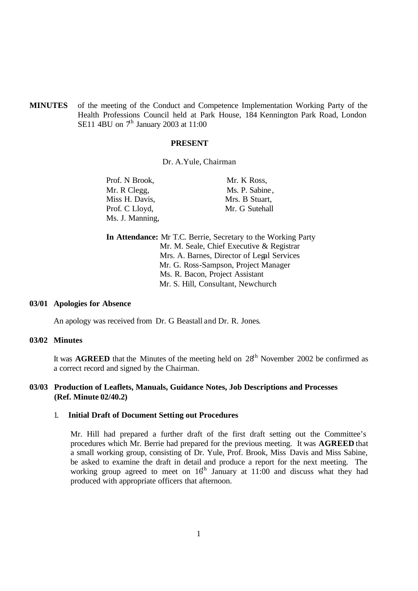**MINUTES** of the meeting of the Conduct and Competence Implementation Working Party of the Health Professions Council held at Park House, 184 Kennington Park Road, London SE11 4BU on  $7<sup>h</sup>$  January 2003 at 11:00

### **PRESENT**

Dr. A.Yule, Chairman

| Prof. N Brook,  | Mr. K Ross,    |
|-----------------|----------------|
| Mr. R Clegg,    | Ms. P. Sabine, |
| Miss H. Davis,  | Mrs. B Stuart, |
| Prof. C Lloyd,  | Mr. G Sutehall |
| Ms. J. Manning, |                |

**In Attendance:** Mr T.C. Berrie, Secretary to the Working Party Mr. M. Seale, Chief Executive & Registrar Mrs. A. Barnes, Director of Legal Services Mr. G. Ross-Sampson, Project Manager Ms. R. Bacon, Project Assistant Mr. S. Hill, Consultant, Newchurch

### **03/01 Apologies for Absence**

An apology was received from Dr. G Beastall and Dr. R. Jones.

#### **03/02 Minutes**

It was **AGREED** that the Minutes of the meeting held on  $28<sup>th</sup>$  November 2002 be confirmed as a correct record and signed by the Chairman.

# **03/03 Production of Leaflets, Manuals, Guidance Notes, Job Descriptions and Processes (Ref. Minute 02/40.2)**

#### 1. **Initial Draft of Document Setting out Procedures**

Mr. Hill had prepared a further draft of the first draft setting out the Committee's procedures which Mr. Berrie had prepared for the previous meeting. It was **AGREED** that a small working group, consisting of Dr. Yule, Prof. Brook, Miss Davis and Miss Sabine, be asked to examine the draft in detail and produce a report for the next meeting. The working group agreed to meet on  $16<sup>th</sup>$  January at 11:00 and discuss what they had produced with appropriate officers that afternoon.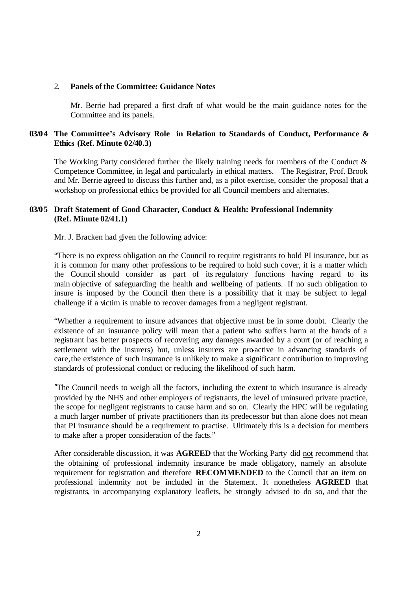### 2. **Panels of the Committee: Guidance Notes**

Mr. Berrie had prepared a first draft of what would be the main guidance notes for the Committee and its panels.

# **03/04 The Committee's Advisory Role in Relation to Standards of Conduct, Performance & Ethics (Ref. Minute 02/40.3)**

The Working Party considered further the likely training needs for members of the Conduct & Competence Committee, in legal and particularly in ethical matters. The Registrar, Prof. Brook and Mr. Berrie agreed to discuss this further and, as a pilot exercise, consider the proposal that a workshop on professional ethics be provided for all Council members and alternates.

# **03/05 Draft Statement of Good Character, Conduct & Health: Professional Indemnity (Ref. Minute 02/41.1)**

Mr. J. Bracken had given the following advice:

"There is no express obligation on the Council to require registrants to hold PI insurance, but as it is common for many other professions to be required to hold such cover, it is a matter which the Council should consider as part of its regulatory functions having regard to its main objective of safeguarding the health and wellbeing of patients. If no such obligation to insure is imposed by the Council then there is a possibility that it may be subject to legal challenge if a victim is unable to recover damages from a negligent registrant.

"Whether a requirement to insure advances that objective must be in some doubt. Clearly the existence of an insurance policy will mean that a patient who suffers harm at the hands of a registrant has better prospects of recovering any damages awarded by a court (or of reaching a settlement with the insurers) but, unless insurers are pro-active in advancing standards of care,the existence of such insurance is unlikely to make a significant c ontribution to improving standards of professional conduct or reducing the likelihood of such harm.

"The Council needs to weigh all the factors, including the extent to which insurance is already provided by the NHS and other employers of registrants, the level of uninsured private practice, the scope for negligent registrants to cause harm and so on. Clearly the HPC will be regulating a much larger number of private practitioners than its predecessor but than alone does not mean that PI insurance should be a requirement to practise. Ultimately this is a decision for members to make after a proper consideration of the facts."

After considerable discussion, it was **AGREED** that the Working Party did not recommend that the obtaining of professional indemnity insurance be made obligatory, namely an absolute requirement for registration and therefore **RECOMMENDED** to the Council that an item on professional indemnity not be included in the Statement. It nonetheless **AGREED** that registrants, in accompanying explanatory leaflets, be strongly advised to do so, and that the